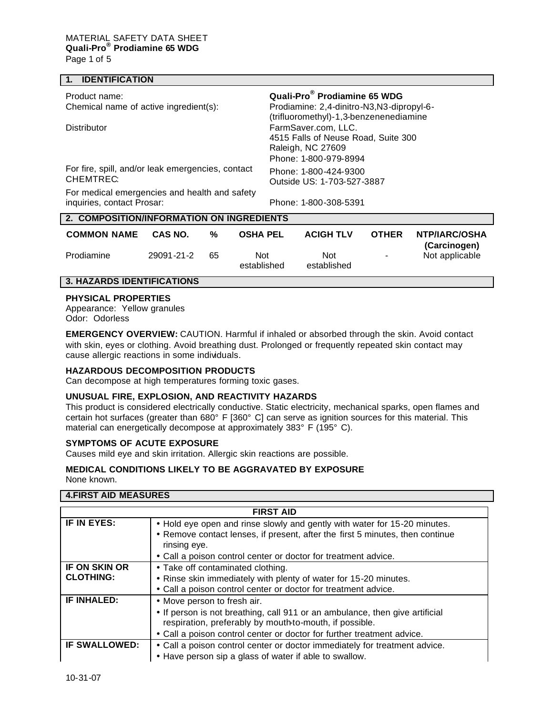## **1. IDENTIFICATION**

| Product name:                                     | Quali-Pro® Prodiamine 65 WDG                                  |  |  |  |  |
|---------------------------------------------------|---------------------------------------------------------------|--|--|--|--|
| Chemical name of active ingredient(s):            | Prodiamine: 2,4-dinitro-N3,N3-dipropyl-6-                     |  |  |  |  |
| <b>Distributor</b>                                | (trifluoromethyl)-1,3-benzenenediamine<br>FarmSaver.com, LLC. |  |  |  |  |
|                                                   | 4515 Falls of Neuse Road, Suite 300                           |  |  |  |  |
|                                                   | Raleigh, NC 27609                                             |  |  |  |  |
|                                                   | Phone: 1-800-979-8994                                         |  |  |  |  |
| For fire, spill, and/or leak emergencies, contact | Phone: 1-800-424-9300                                         |  |  |  |  |
| CHEMTREC:                                         | Outside US: 1-703-527-3887                                    |  |  |  |  |
| For medical emergencies and health and safety     |                                                               |  |  |  |  |
| inquiries, contact Prosar:                        | Phone: 1-800-308-5391                                         |  |  |  |  |
| 2. COMPOSITION/INFORMATION ON INGREDIENTS         |                                                               |  |  |  |  |
|                                                   |                                                               |  |  |  |  |

| <b>COMMON NAME</b> | CAS NO.    | %  | <b>OSHA PEL</b>    | <b>ACIGH TLV</b>   | <b>OTHER</b> | <b>NTP/IARC/OSHA</b><br>(Carcinogen) |
|--------------------|------------|----|--------------------|--------------------|--------------|--------------------------------------|
| Prodiamine         | 29091-21-2 | 65 | Not<br>established | Not<br>established | $\sim$       | Not applicable                       |

## **3. HAZARDS IDENTIFICATIONS**

## **PHYSICAL PROPERTIES**

Appearance: Yellow granules Odor: Odorless

**EMERGENCY OVERVIEW:** CAUTION. Harmful if inhaled or absorbed through the skin. Avoid contact with skin, eyes or clothing. Avoid breathing dust. Prolonged or frequently repeated skin contact may cause allergic reactions in some individuals.

#### **HAZARDOUS DECOMPOSITION PRODUCTS**

Can decompose at high temperatures forming toxic gases.

#### **UNUSUAL FIRE, EXPLOSION, AND REACTIVITY HAZARDS**

This product is considered electrically conductive. Static electricity, mechanical sparks, open flames and certain hot surfaces (greater than 680° F [360° C] can serve as ignition sources for this material. This material can energetically decompose at approximately 383° F (195° C).

#### **SYMPTOMS OF ACUTE EXPOSURE**

Causes mild eye and skin irritation. Allergic skin reactions are possible.

## **MEDICAL CONDITIONS LIKELY TO BE AGGRAVATED BY EXPOSURE**

None known.

## **4.FIRST AID MEASURES**

| <b>FIRST AID</b>     |                                                                                                                                         |  |
|----------------------|-----------------------------------------------------------------------------------------------------------------------------------------|--|
| IF IN EYES:          | • Hold eye open and rinse slowly and gently with water for 15-20 minutes.                                                               |  |
|                      | • Remove contact lenses, if present, after the first 5 minutes, then continue<br>rinsing eye.                                           |  |
|                      | • Call a poison control center or doctor for treatment advice.                                                                          |  |
| <b>IF ON SKIN OR</b> | • Take off contaminated clothing.                                                                                                       |  |
| <b>CLOTHING:</b>     | • Rinse skin immediately with plenty of water for 15-20 minutes.                                                                        |  |
|                      | • Call a poison control center or doctor for treatment advice.                                                                          |  |
| <b>IF INHALED:</b>   | • Move person to fresh air.                                                                                                             |  |
|                      | • If person is not breathing, call 911 or an ambulance, then give artificial<br>respiration, preferably by mouth-to-mouth, if possible. |  |
|                      | • Call a poison control center or doctor for further treatment advice.                                                                  |  |
| <b>IF SWALLOWED:</b> | • Call a poison control center or doctor immediately for treatment advice.                                                              |  |
|                      | • Have person sip a glass of water if able to swallow.                                                                                  |  |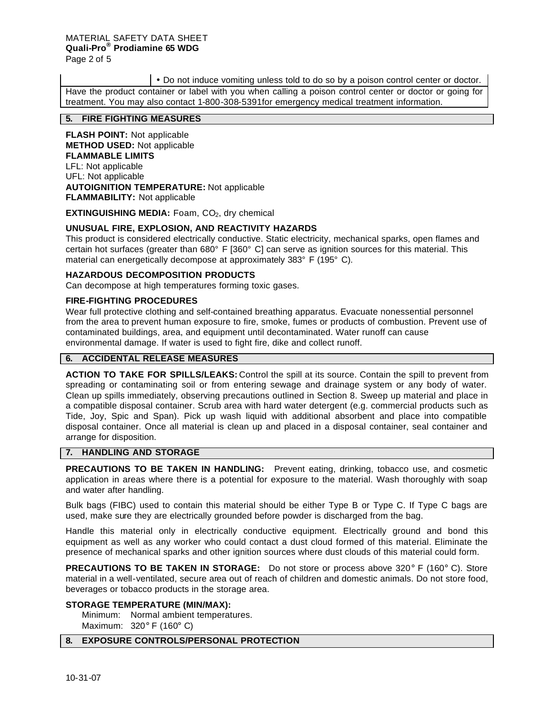• Do not induce vomiting unless told to do so by a poison control center or doctor.

Have the product container or label with you when calling a poison control center or doctor or going for treatment. You may also contact 1-800-308-5391for emergency medical treatment information.

# **5. FIRE FIGHTING MEASURES**

**FLASH POINT:** Not applicable **METHOD USED:** Not applicable **FLAMMABLE LIMITS** LFL: Not applicable UFL: Not applicable **AUTOIGNITION TEMPERATURE:** Not applicable **FLAMMABILITY:** Not applicable

**EXTINGUISHING MEDIA:** Foam, CO<sub>2</sub>, dry chemical

# **UNUSUAL FIRE, EXPLOSION, AND REACTIVITY HAZARDS**

This product is considered electrically conductive. Static electricity, mechanical sparks, open flames and certain hot surfaces (greater than 680° F [360° C] can serve as ignition sources for this material. This material can energetically decompose at approximately 383° F (195° C).

# **HAZARDOUS DECOMPOSITION PRODUCTS**

Can decompose at high temperatures forming toxic gases.

# **FIRE-FIGHTING PROCEDURES**

Wear full protective clothing and self-contained breathing apparatus. Evacuate nonessential personnel from the area to prevent human exposure to fire, smoke, fumes or products of combustion. Prevent use of contaminated buildings, area, and equipment until decontaminated. Water runoff can cause environmental damage. If water is used to fight fire, dike and collect runoff.

# **6. ACCIDENTAL RELEASE MEASURES**

**ACTION TO TAKE FOR SPILLS/LEAKS:** Control the spill at its source. Contain the spill to prevent from spreading or contaminating soil or from entering sewage and drainage system or any body of water. Clean up spills immediately, observing precautions outlined in Section 8. Sweep up material and place in a compatible disposal container. Scrub area with hard water detergent (e.g. commercial products such as Tide, Joy, Spic and Span). Pick up wash liquid with additional absorbent and place into compatible disposal container. Once all material is clean up and placed in a disposal container, seal container and arrange for disposition.

# **7. HANDLING AND STORAGE**

**PRECAUTIONS TO BE TAKEN IN HANDLING:** Prevent eating, drinking, tobacco use, and cosmetic application in areas where there is a potential for exposure to the material. Wash thoroughly with soap and water after handling.

Bulk bags (FIBC) used to contain this material should be either Type B or Type C. If Type C bags are used, make sure they are electrically grounded before powder is discharged from the bag.

Handle this material only in electrically conductive equipment. Electrically ground and bond this equipment as well as any worker who could contact a dust cloud formed of this material. Eliminate the presence of mechanical sparks and other ignition sources where dust clouds of this material could form.

**PRECAUTIONS TO BE TAKEN IN STORAGE:** Do not store or process above 320° F (160° C). Store material in a well-ventilated, secure area out of reach of children and domestic animals. Do not store food, beverages or tobacco products in the storage area.

### **STORAGE TEMPERATURE (MIN/MAX):**

Minimum: Normal ambient temperatures. Maximum: 320° F (160° C)

# **8. EXPOSURE CONTROLS/PERSONAL PROTECTION**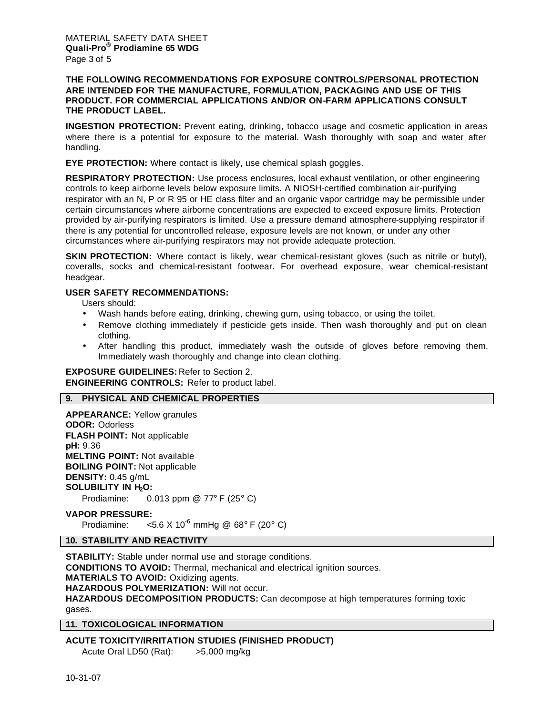## **THE FOLLOWING RECOMMENDATIONS FOR EXPOSURE CONTROLS/PERSONAL PROTECTION ARE INTENDED FOR THE MANUFACTURE, FORMULATION, PACKAGING AND USE OF THIS PRODUCT. FOR COMMERCIAL APPLICATIONS AND/OR ON-FARM APPLICATIONS CONSULT THE PRODUCT LABEL.**

**INGESTION PROTECTION:** Prevent eating, drinking, tobacco usage and cosmetic application in areas where there is a potential for exposure to the material. Wash thoroughly with soap and water after handling.

**EYE PROTECTION:** Where contact is likely, use chemical splash goggles.

**RESPIRATORY PROTECTION:** Use process enclosures, local exhaust ventilation, or other engineering controls to keep airborne levels below exposure limits. A NIOSH-certified combination air-purifying respirator with an N, P or R 95 or HE class filter and an organic vapor cartridge may be permissible under certain circumstances where airborne concentrations are expected to exceed exposure limits. Protection provided by air-purifying respirators is limited. Use a pressure demand atmosphere-supplying respirator if there is any potential for uncontrolled release, exposure levels are not known, or under any other circumstances where air-purifying respirators may not provide adequate protection.

**SKIN PROTECTION:** Where contact is likely, wear chemical-resistant gloves (such as nitrile or butyl), coveralls, socks and chemical-resistant footwear. For overhead exposure, wear chemical-resistant headgear.

# **USER SAFETY RECOMMENDATIONS:**

Users should:

- Wash hands before eating, drinking, chewing gum, using tobacco, or using the toilet.
- Remove clothing immediately if pesticide gets inside. Then wash thoroughly and put on clean clothing.
- After handling this product, immediately wash the outside of gloves before removing them. Immediately wash thoroughly and change into clean clothing.

**EXPOSURE GUIDELINES:** Refer to Section 2. **ENGINEERING CONTROLS:** Refer to product label.

# **9. PHYSICAL AND CHEMICAL PROPERTIES**

**APPEARANCE:** Yellow granules **ODOR:** Odorless **FLASH POINT:** Not applicable **pH:** 9.36 **MELTING POINT:** Not available **BOILING POINT:** Not applicable **DENSITY:** 0.45 g/mL **SOLUBILITY IN H2O:**

Prodiamine: 0.013 ppm @ 77° F (25° C)

#### **VAPOR PRESSURE:**

Prodiamine:  $\leq 5.6 \times 10^{-6}$  mmHg @ 68° F (20° C)

**10. STABILITY AND REACTIVITY**

**STABILITY:** Stable under normal use and storage conditions. **CONDITIONS TO AVOID:** Thermal, mechanical and electrical ignition sources. **MATERIALS TO AVOID:** Oxidizing agents. **HAZARDOUS POLYMERIZATION:** Will not occur. **HAZARDOUS DECOMPOSITION PRODUCTS:** Can decompose at high temperatures forming toxic gases.

**11. TOXICOLOGICAL INFORMATION**

**ACUTE TOXICITY/IRRITATION STUDIES (FINISHED PRODUCT)** Acute Oral LD50 (Rat): >5,000 mg/kg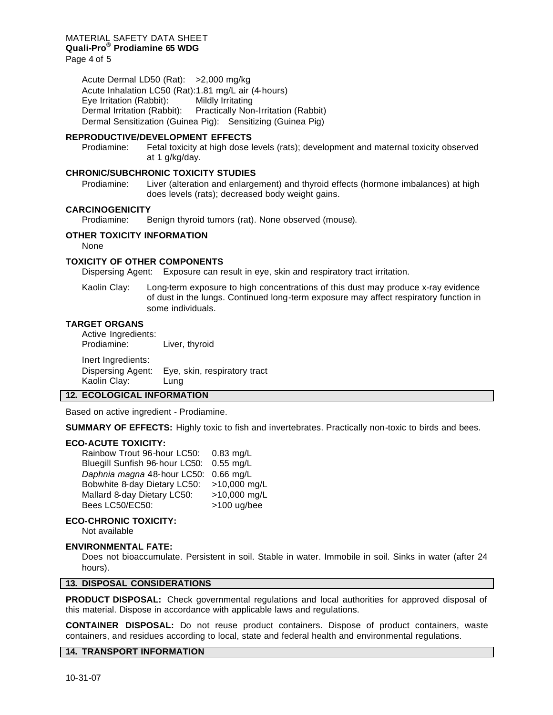Acute Dermal LD50 (Rat): >2,000 mg/kg Acute Inhalation LC50 (Rat):1.81 mg/L air (4-hours) Eye Irritation (Rabbit): Mildly Irritating Dermal Irritation (Rabbit): Practically Non-Irritation (Rabbit) Dermal Sensitization (Guinea Pig): Sensitizing (Guinea Pig)

### **REPRODUCTIVE/DEVELOPMENT EFFECTS**

Prodiamine: Fetal toxicity at high dose levels (rats); development and maternal toxicity observed at 1 g/kg/day.

#### **CHRONIC/SUBCHRONIC TOXICITY STUDIES**

Prodiamine: Liver (alteration and enlargement) and thyroid effects (hormone imbalances) at high does levels (rats); decreased body weight gains.

## **CARCINOGENICITY**

Prodiamine: Benign thyroid tumors (rat). None observed (mouse).

# **OTHER TOXICITY INFORMATION**

None

## **TOXICITY OF OTHER COMPONENTS**

Dispersing Agent: Exposure can result in eye, skin and respiratory tract irritation.

Kaolin Clay: Long-term exposure to high concentrations of this dust may produce x-ray evidence of dust in the lungs. Continued long-term exposure may affect respiratory function in some individuals.

#### **TARGET ORGANS**

Active Ingredients: Prodiamine: Liver, thyroid Inert Ingredients: Dispersing Agent: Eye, skin, respiratory tract Kaolin Clay: Lung

#### **12. ECOLOGICAL INFORMATION**

Based on active ingredient - Prodiamine.

**SUMMARY OF EFFECTS:** Highly toxic to fish and invertebrates. Practically non-toxic to birds and bees.

#### **ECO-ACUTE TOXICITY:**

Rainbow Trout 96-hour LC50: 0.83 mg/L Bluegill Sunfish 96-hour LC50: 0.55 mg/L *Daphnia magna* 48-hour LC50: 0.66 mg/L Bobwhite 8-day Dietary LC50: >10,000 mg/L<br>Mallard 8-day Dietary LC50: >10,000 mg/L Mallard 8-day Dietary LC50: Bees LC50/EC50: >100 ug/bee

# **ECO-CHRONIC TOXICITY:**

Not available

### **ENVIRONMENTAL FATE:**

Does not bioaccumulate. Persistent in soil. Stable in water. Immobile in soil. Sinks in water (after 24 hours).

## **13. DISPOSAL CONSIDERATIONS**

**PRODUCT DISPOSAL:** Check governmental regulations and local authorities for approved disposal of this material. Dispose in accordance with applicable laws and regulations.

**CONTAINER DISPOSAL:** Do not reuse product containers. Dispose of product containers, waste containers, and residues according to local, state and federal health and environmental regulations.

## **14. TRANSPORT INFORMATION**